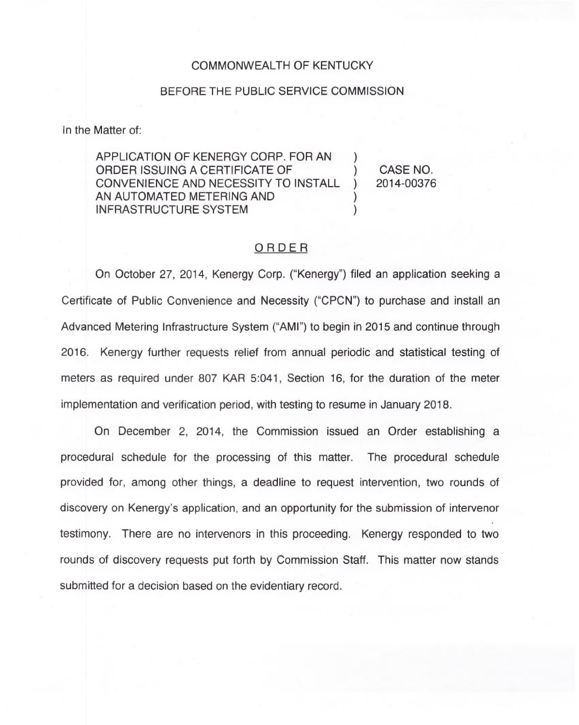#### COMMONWEALTH OF KENTUCKY

## BEFORE THE PUBLIC SERVICE COMMISSION

In the Matter of:

APPLICATION OF KENERGY CORP. FOR AN ORDER ISSUING A CERTIFICATE OF  $\qquad \qquad$  ) CASE NO.<br>CONVENIENCE AND NECESSITY TO INSTALL ) 2014-00376 CONVENIENCE AND NECESSITY TO INSTALL AN AUTOMATED METERING AND ) INFRASTRUCTURE SYSTEM

# ORDER

On October 27, 2014, Kenergy Corp. ("Kenergy") filed an application seeking a Certificate of Public Convenience and Necessity ("CPCN") to purchase and install an Advanced Metering Infrastructure System ("AMI") to begin in 2015 and continue through 2016. Kenergy further requests relief from annual periodic and statistical testing of meters as required under 807 KAR 5:041, Section 16, for the duration of the meter implementation and verification period, with testing to resume in January 2018.

On December 2, 2014, the Commission issued an Order establishing a procedural schedule for the processing of this matter. The procedural schedule provided for, among other things, a deadline to request intervention, two rounds of discovery on Kenergy's application, and an opportunity for the submission of intervenor testimony. There are no intervenors in this proceeding. Kenergy responded to two rounds of discovery requests put forth by Commission Staff. This matter now stands submitted for a decision based on the evidentiary record.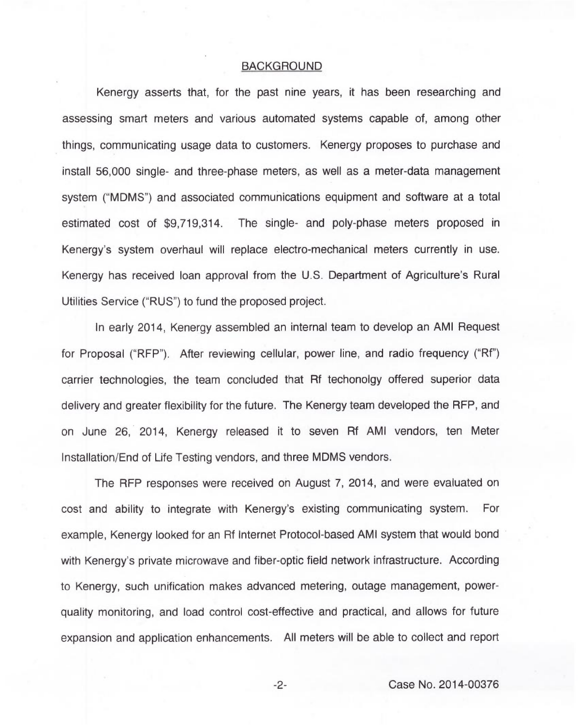## BACKGROUND

Kenergy asserts that, for the past nine years, it has been researching and assessing smart meters and various automated systems capable of, among other things, communicating usage data to customers. Kenergy proposes to purchase and install 56,000 single- and three-phase meters, as well as a meter-data management system ("MDMS") and associated communications equipment and software at a total estimated cost of \$9,719,314. The single- and poly-phase meters proposed in Kenergy's system overhaul will replace electro-mechanical meters currently in use. Kenergy has received loan approval from the U.S. Department of Agriculture's Rural Utilities Service ("RUS") to fund the proposed project.

In early 2014, Kenergy assembled an internal team to develop an AMI Request for Proposal ("RFP"). After reviewing cellular, power line, and radio frequency ("Rf") carrier technologies, the team concluded that Rf techonolgy offered superior data delivery and greater flexibility for the future. The Kenergy team developed the RFP, and on June 26, 2014, Kenergy released it to seven Rf AMI vendors, ten Meter Installation/End of Life Testing vendors, and three MDMS vendors.

The RFP responses were received on August 7, 2014, and were evaluated on cost and ability to integrate with Kenergy's existing communicating system. For example, Kenergy looked for an Rf Internet Protocol-based AMI system that would bond with Kenergy's private microwave and fiber-optic field network infrastructure. According to Kenergy, such unification makes advanced metering, outage management, powerquality monitoring, and load control cost-effective and practical, and allows for future expansion and application enhancements. All meters will be able to collect and report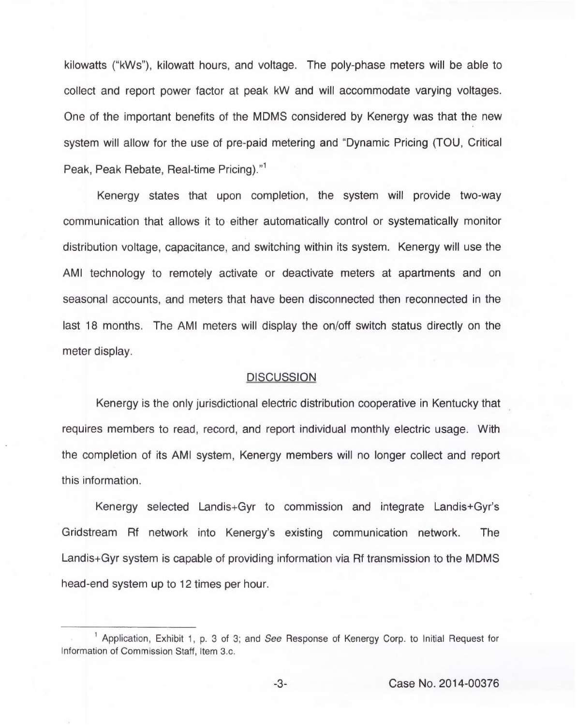kilowatts ("kWs"), kilowatt hours, and voltage. The poly-phase meters will be able to collect and report power factor at peak kW and will accommodate varying voltages. One of the important benefits of the MDMS considered by Kenergy was that the new system will allow for the use of pre-paid metering and "Dynamic Pricing (TOU, Critical Peak, Peak Rebate, Real-time Pricing)."<sup>1</sup>

Kenergy states that upon completion, the system will provide two-way communication that allows it to either automatically control or systematically monitor distribution voltage, capacitance, and switching within its system. Kenergy will use the AMI technology to remotely activate or deactivate meters at apartments and on seasonal accounts, and meters that have been disconnected then reconnected in the last 18 months. The AMI meters will display the on/off switch status directly on the meter display.

### **DISCUSSION**

Kenergy is the only jurisdictional electric distribution cooperative in Kentucky that requires members to read, record, and report individual monthly electric usage. With the completion of its AMI system, Kenergy members will no longer collect and report this information.

Kenergy selected Landis+Gyr to commission and integrate Landis+Gyr Gridstream Rf network into Kenergy's existing communication network. The Landis+Gyr system is capable of providing information via Rf transmission to the MDMS head-end system up to 12 times per hour.

<sup>&</sup>lt;sup>1</sup> Application, Exhibit 1, p. 3 of 3; and See Response of Kenergy Corp. to Initial Request for Information of Commission Staff, Item 3.c.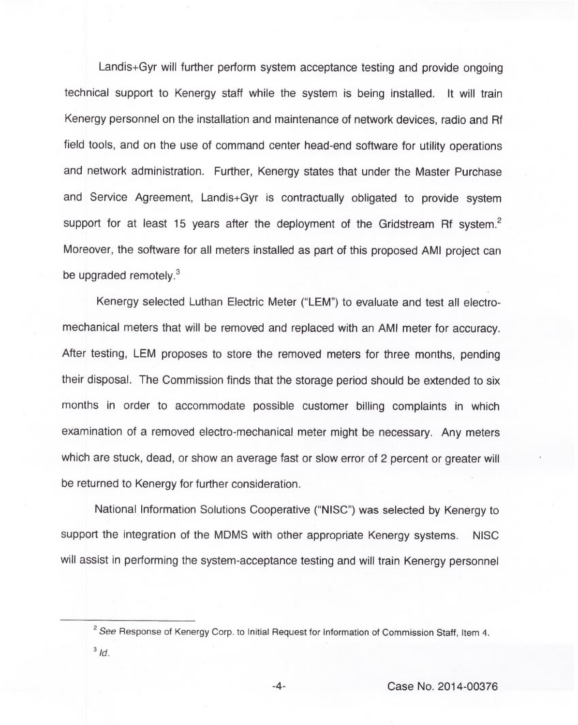Landis+Gyr will further perform system acceptance testing and provide ongoing technical support to Kenergy staff while the system is being installed. It will train Kenergy personnel on the installation and maintenance of network devices, radio and Rf field tools, and on the use of command center head-end software for utility operations and network administration. Further, Kenergy states that under the Master Purchase and Service Agreement, Landis+Gyr is contractually obligated to provide system support for at least 15 years after the deployment of the Gridstream Rf system.<sup>2</sup> Moreover, the software for all meters installed as part of this proposed AMI project can be upgraded remotely.<sup>3</sup>

Kenergy selected Luthan Electric Meter ("LEM") to evaluate and test all electromechanical meters that will be removed and replaced with an AMI meter for accuracy. After testing, LEM proposes to store the removed meters for three months, pending their disposal. The Commission finds that the storage period should be extended to six months in order to accommodate possible customer billing complaints in which examination of a removed electro-mechanical meter might be necessary. Any meters which are stuck, dead, or show an average fast or slow error of 2 percent or greater will be returned to Kenergy for further consideration.

National Information Solutions Cooperative ("NISC") was selected by Kenergy to support the integration of the MDMS with other appropriate Kenergy systems. NISC will assist in performing the system-acceptance testing and will train Kenergy personnel

 $2$  See Response of Kenergy Corp. to Initial Request for Information of Commission Staff, Item 4.  $3/d$ .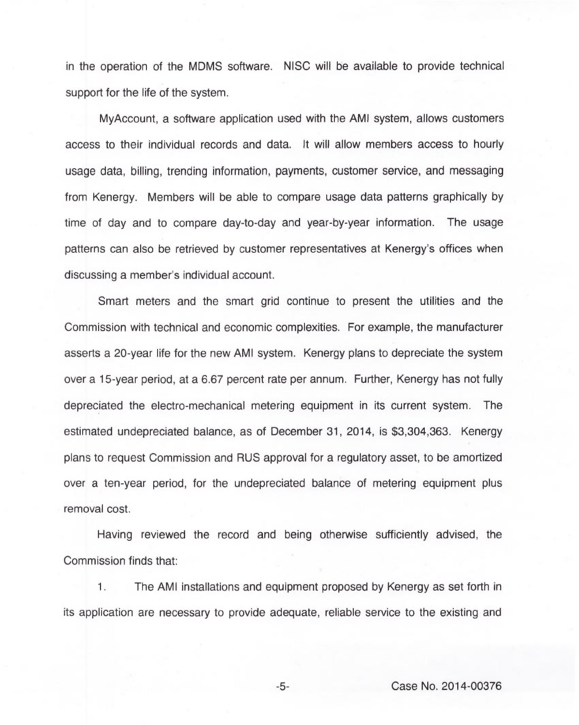in the operation of the MDMS software. NISC will be available to provide technical support for the life of the system.

MyAccount, a software application used with the AMI system, allows customers access to their individual records and data. It will allow members access to hourly usage data, billing, trending information, payments, customer service, and messaging from Kenergy. Members will be able to compare usage data patterns graphically by time of day and to compare day-to-day and year-by-year information. The usage patterns can also be retrieved by customer representatives at Kenergy's offices when discussing a member's individual account.

Smart meters and the smart grid continue to present the utilities and the Commission with technical and economic complexities. For example, the manufacturer asserts a 20-year life for the new AMI system. Kenergy plans to depreciate the system over a 15-year period, at a 6.67 percent rate per annum. Further, Kenergy has not fully depreciated the electro-mechanical metering equipment in its current system. The estimated undepreciated balance, as of December 31, 2014, is \$3,304,363. Kenergy plans to request Commission and RUS approval for a regulatory asset, to be amortized over a ten-year period, for the undepreciated balance of metering equipment plus removal cost.

Having reviewed the record and being otherwise sufficiently advised, the Commission finds that:

1. The AMI installations and equipment proposed by Kenergy as set forth in its application are necessary to provide adequate, reliable service to the existing and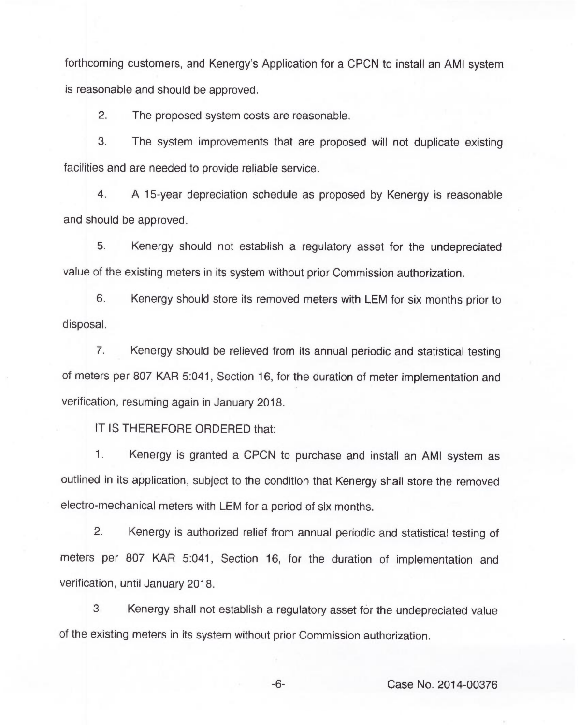forthcoming customers, and Kenergy's Application for a CPCN to install an AMI system is reasonable and should be approved.

2. The proposed system costs are reasonable.

3. The system improvements that are proposed will not duplicate existing facilities and are needed to provide reliable service.

4. <sup>A</sup> 15-year depreciation schedule as proposed by Kenergy is reasonable and should be approved.

5. Kenergy should not establish a regulatory asset for the undepreciated value of the existing meters in its system without prior Commission authorization.

6. Kenergy should store its removed meters with LEM for six months prior to disposal.

7. Kenergy should be relieved from its annual periodic and statistical testing of meters per 807 KAR 5:041, Section 16, for the duration of meter implementation and verification, resuming again in January 2018.

IT IS THEREFORE ORDERED that:

1. Kenergy is granted a CPCN to purchase and install an AMI system as outlined in its application, subject to the condition that Kenergy shall store the removed electro-mechanical meters with LEM for a period of six months.

2. Kenergy is authorized relief from annual periodic and statistical testing of meters per 807 KAR 5:041, Section 16, for the duration of implementation and verification, until January 2018.

3. Kenergy shall not establish a regulatory asset for the undepreciated value of the existing meters in its system without prior Commission authorization.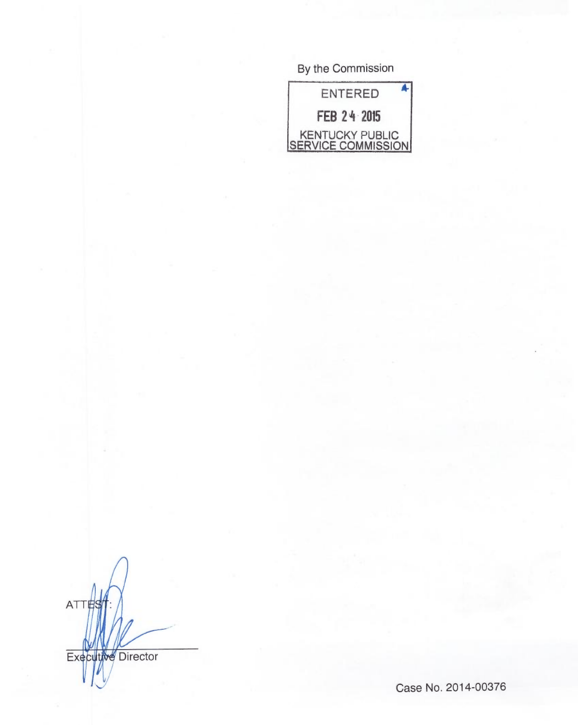By the Commission

| ENTERED                               |  |
|---------------------------------------|--|
| FEB 24 2015                           |  |
| KENTUCKY PUBLIC<br>SERVICE COMMISSION |  |

ATTES Executive Director

Case No. 2014-00376